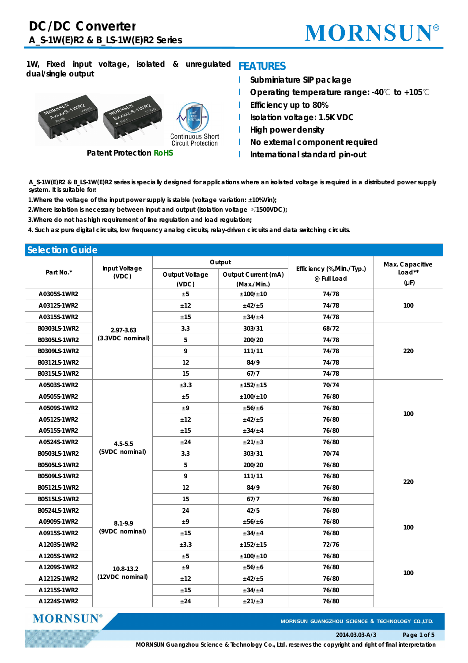## **MORNSUN®**

### **1W, Fixed input voltage, isolated & unregulated FEATURES dual/single output**



**Patent Protection RoHS**

- l **Subminiature SIP package**
- l **Operating temperature range: -40**℃ **to +105**℃
- l **Efficiency up to 80%**
- l **Isolation voltage: 1.5K VDC**
- l **High power density**
- l **No external component required**
- l **International standard pin-out**

A\_S-1W(E)R2 & B\_LS-1W(E)R2 series is specially designed for applications where an isolated voltage is required in a distributed power supply *system. It is suitable for:*

*1.Where the voltage of the input power supply is stable (voltage variation: <sup>±</sup>10%Vin);*

*2.Where isolation is necessary between input and output (isolation voltage ≤1500VDC);*

*3.Where do not has high requirement of line regulation and load regulation;*

4. Such as: pure digital circuits, low frequency analog circuits, relay-driven circuits and data switching circuits.

| <b>Selection Guide</b> |                               |                |                     |                                          |                 |
|------------------------|-------------------------------|----------------|---------------------|------------------------------------------|-----------------|
|                        | Input Voltage<br>(VDC)        |                | Output              |                                          | Max. Capacitive |
| Part No.*              |                               | Output Voltage | Output Current (mA) | Efficiency (%, Min./Typ.)<br>@ Full Load | Load**          |
|                        |                               | (VDC)          | (Max./Min.)         |                                          | $(\mu F)$       |
| A0305S-1WR2            |                               | ±5             | ±100/±10            | 74/78                                    |                 |
| A0312S-1WR2            |                               | ±12            | ±42/±5              | 74/78                                    | 100             |
| A0315S-1WR2            |                               | ±15            | $\pm 34/\pm 4$      | 74/78                                    |                 |
| B0303LS-1WR2           | 2.97-3.63                     | 3.3            | 303/31              | 68/72                                    |                 |
| B0305LS-1WR2           | (3.3VDC nominal)              | 5              | 200/20              | 74/78                                    |                 |
| B0309LS-1WR2           |                               | 9              | 111/11              | 74/78                                    | 220             |
| B0312LS-1WR2           |                               | 12             | 84/9                | 74/78                                    |                 |
| B0315LS-1WR2           |                               | 15             | 67/7                | 74/78                                    |                 |
| A0503S-1WR2            |                               | ±3.3           | ±152/±15            | 70/74                                    |                 |
| A0505S-1WR2            |                               | ±5             | ±100/±10            | 76/80                                    |                 |
| A0509S-1WR2            | $4.5 - 5.5$<br>(5VDC nominal) | ±9             | ±56/±6              | 76/80                                    | 100             |
| A0512S-1WR2            |                               | ±12            | ±42/±5              | 76/80                                    |                 |
| A0515S-1WR2            |                               | ±15            | ±34/±4              | 76/80                                    |                 |
| A0524S-1WR2            |                               | ±24            | ±21/±3              | 76/80                                    |                 |
| B0503LS-1WR2           |                               | 3.3            | 303/31              | 70/74                                    |                 |
| B0505LS-1WR2           |                               | 5              | 200/20              | 76/80                                    |                 |
| B0509LS-1WR2           |                               | 9              | 111/11              | 76/80                                    |                 |
| B0512LS-1WR2           |                               | 12             | 84/9                | 76/80                                    | 220             |
| B0515LS-1WR2           |                               | 15             | 67/7                | 76/80                                    |                 |
| B0524LS-1WR2           |                               | 24             | 42/5                | 76/80                                    |                 |
| A0909S-1WR2            | $8.1 - 9.9$                   | ±9             | ±56/±6              | 76/80                                    |                 |
| A0915S-1WR2            | (9VDC nominal)                | ±15            | ±34/±4              | 76/80                                    | 100             |
| A1203S-1WR2            |                               | ±3.3           | ±152/±15            | 72/76                                    |                 |
| A1205S-1WR2            | 10.8-13.2                     | ±5             | ±100/±10            | 76/80                                    |                 |
| A1209S-1WR2            |                               | ±9             | ±56/±6              | 76/80                                    |                 |
| A1212S-1WR2            | (12VDC nominal)               | ±12            | ±42/±5              | 76/80                                    | 100             |
| A1215S-1WR2            |                               | ±15            | ±34/±4              | 76/80                                    |                 |
| A1224S-1WR2            |                               | ±24            | ±21/±3              | 76/80                                    |                 |

**MORNSUN** 

MORNSUN GUANGZHOU SCIENCE & TECHNOLOGY CO.,LTD.

**MORNSUN Guangzhou Science & Technology Co., Ltd. reserves the copyright and right of final interpretation**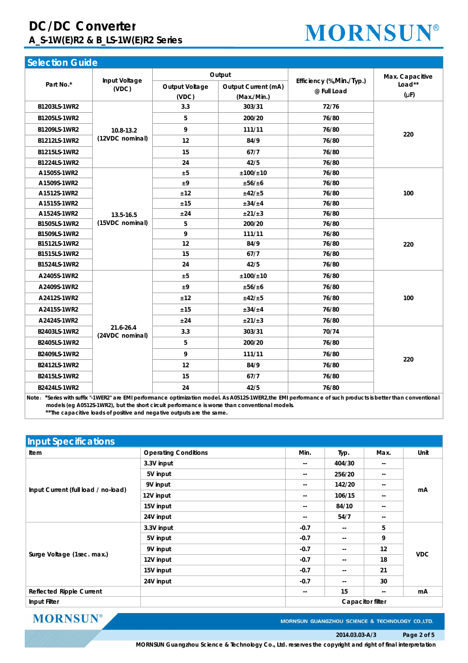## **DC/DC Converter A\_S-1W(E)R2 & B\_LS-1W(E)R2 Series**

## **MORNSUN®**

| <b>Selection Guide</b> |                              |                |                     |                                          |                 |
|------------------------|------------------------------|----------------|---------------------|------------------------------------------|-----------------|
|                        |                              |                | Output              |                                          | Max. Capacitive |
| Part No.*              | Input Voltage<br>(VDC)       | Output Voltage | Output Current (mA) | Efficiency (%, Min./Typ.)<br>@ Full Load | Load**          |
|                        |                              | (VDC)          | (Max./Min.)         |                                          | $(\mu F)$       |
| B1203LS-1WR2           |                              | 3.3            | 303/31              | 72/76                                    |                 |
| B1205LS-1WR2           |                              | 5              | 200/20              | 76/80                                    |                 |
| B1209LS-1WR2           | 10.8-13.2                    | 9              | 111/11              | 76/80                                    | 220             |
| B1212LS-1WR2           | (12VDC nominal)              | 12             | 84/9                | 76/80                                    |                 |
| B1215LS-1WR2           |                              | 15             | 67/7                | 76/80                                    |                 |
| B1224LS-1WR2           |                              | 24             | 42/5                | 76/80                                    |                 |
| A1505S-1WR2            |                              | ±5             | ±100/±10            | 76/80                                    |                 |
| A1509S-1WR2            |                              | ±9             | ±56/±6              | 76/80                                    |                 |
| A1512S-1WR2            |                              | ±12            | ±42/±5              | 76/80                                    | 100             |
| A1515S-1WR2            |                              | ±15            | ±34/±4              | 76/80                                    |                 |
| A1524S-1WR2            | 13.5-16.5                    | ±24            | ±21/±3              | 76/80                                    |                 |
| B1505LS-1WR2           | (15VDC nominal)              | 5              | 200/20              | 76/80                                    |                 |
| B1509LS-1WR2           |                              | 9              | 111/11              | 76/80                                    |                 |
| B1512LS-1WR2           |                              | 12             | 84/9                | 76/80                                    | 220             |
| B1515LS-1WR2           |                              | 15             | 67/7                | 76/80                                    |                 |
| B1524LS-1WR2           |                              | 24             | 42/5                | 76/80                                    |                 |
| A2405S-1WR2            |                              | ±5             | ±100/±10            | 76/80                                    |                 |
| A2409S-1WR2            |                              | ±9             | ±56/±6              | 76/80                                    |                 |
| A2412S-1WR2            |                              | ±12            | ±42/±5              | 76/80                                    | 100             |
| A2415S-1WR2            |                              | ±15            | ±34/±4              | 76/80                                    |                 |
| A2424S-1WR2            |                              | ±24            | ±21/±3              | 76/80                                    |                 |
| B2403LS-1WR2           | 21.6-26.4<br>(24VDC nominal) | 3.3            | 303/31              | 70/74                                    |                 |
| B2405LS-1WR2           |                              | 5              | 200/20              | 76/80                                    |                 |
| B2409LS-1WR2           |                              | 9              | 111/11              | 76/80                                    | 220             |
| B2412LS-1WR2           |                              | 12             | 84/9                | 76/80                                    |                 |
| B2415LS-1WR2           |                              | 15             | 67/7                | 76/80                                    |                 |
| B2424LS-1WR2           |                              | 24             | 42/5                | 76/80                                    |                 |

Note: \*Series with suffix "-1WER2" are EMI performance optimization model. As A0512S-1WER2, the EMI performance of such products is better than conventional **models (eg A0512S-1WR2), but the short circuit performance is worse than conventional models. \*\*The capacitive loads of positive and negative outputs are the same.**

| <b>Input Specifications</b>         |                             |        |                |               |            |  |  |
|-------------------------------------|-----------------------------|--------|----------------|---------------|------------|--|--|
| Item                                | <b>Operating Conditions</b> | Min.   | Typ.           | Max.          | Unit       |  |  |
|                                     | 3.3V input                  | $- -$  | 404/30         | $-$           |            |  |  |
|                                     | 5V input                    | --     | 256/20         | --            |            |  |  |
|                                     | 9V input                    | --     | 142/20         | $\frac{1}{2}$ |            |  |  |
| Input Current (full load / no-load) | 12V input                   | $- -$  | 106/15         | $-$           | mA         |  |  |
|                                     | 15V input                   | --     | 84/10          | $\frac{1}{2}$ |            |  |  |
|                                     | 24V input                   | --     | 54/7           | --            |            |  |  |
|                                     | 3.3V input                  | $-0.7$ | $\sim$ $\sim$  | 5             | <b>VDC</b> |  |  |
|                                     | 5V input                    | $-0.7$ | --             | 9             |            |  |  |
|                                     | 9V input                    | $-0.7$ | $\sim$ $\sim$  | 12            |            |  |  |
| Surge Voltage (1sec. max.)          | 12V input                   | $-0.7$ | $-$            | 18            |            |  |  |
|                                     | 15V input                   | $-0.7$ | $\sim$ $\sim$  | 21            |            |  |  |
|                                     | 24V input                   | $-0.7$ | $\overline{a}$ | 30            |            |  |  |
| Reflected Ripple Current            |                             | $- -$  | 15             | --            | mA         |  |  |
| Input Filter<br>Capacitor filter    |                             |        |                |               |            |  |  |

**MORNSUN®** 

MORNSUN GUANGZHOU SCIENCE & TECHNOLOGY CO.,LTD.

### **2014.03.03-A/3 Page 2 of 5**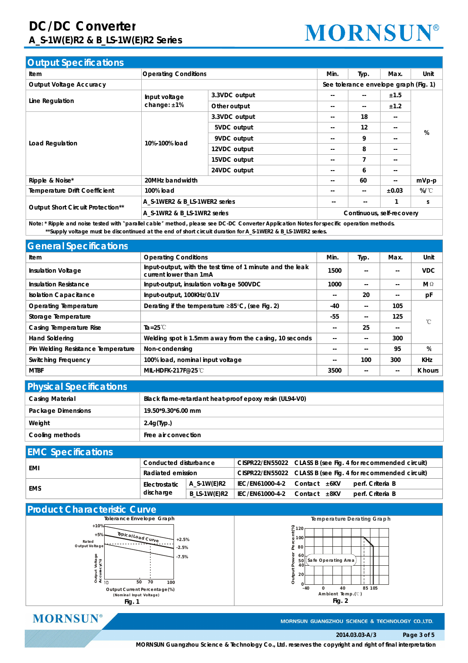## **DC/DC Converter A\_S-1W(E)R2 & B\_LS-1W(E)R2 Series**

# **MORNSUN®**

| <b>Output Specifications</b>      |                               |                             |               |                                       |                          |          |
|-----------------------------------|-------------------------------|-----------------------------|---------------|---------------------------------------|--------------------------|----------|
| Item                              | <b>Operating Conditions</b>   | Min.                        | Typ.          | Max.                                  | Unit                     |          |
| Output Voltage Accuracy           |                               |                             |               | See tolerance envelope graph (Fig. 1) |                          |          |
|                                   | Input voltage                 | 3.3VDC output               | --            | $\overline{\phantom{a}}$              | ±1.5                     | %        |
| Line Regulation                   | change: $±1\%$                | Other output                | --            | $\overline{\phantom{a}}$              | ±1.2                     |          |
|                                   |                               | 3.3VDC output               | --            | 18                                    | $\sim$ $\sim$            |          |
|                                   | 10%-100% load                 | 5VDC output                 | --            | 12                                    | $\sim$ $\sim$            |          |
|                                   |                               | 9VDC output                 | --            | 9                                     | $\sim$ $\sim$            |          |
| Load Regulation                   |                               | 12VDC output                | --            | 8                                     | $\sim$ $\sim$            |          |
|                                   |                               | 15VDC output                | --            | $\overline{7}$                        | $\sim$ $\sim$            |          |
|                                   |                               | 24VDC output                | --            | 6                                     | $\overline{\phantom{a}}$ |          |
| Ripple & Noise*                   | 20MHz bandwidth               |                             |               | 60                                    | $\sim$ $\sim$            | mVp-p    |
| Temperature Drift Coefficient     | 100% load                     |                             | --            | $\overline{\phantom{a}}$              | ±0.03                    | $\%$ /°C |
|                                   | A_S-1WER2 & B_LS-1WER2 series |                             | $\sim$ $\sim$ | $- -$                                 |                          | S        |
| Output Short Circuit Protection** |                               | A S-1WR2 & B LS-1WR2 series |               | Continuous, self-recovery             |                          |          |
|                                   |                               |                             |               |                                       |                          |          |

Note: \* Ripple and noise tested with "parallel cable" method, please see DC-DC Converter Application Notes for specific operation methods. \*\*Supply voltage must be discontinued at the end of short circuit duration for A\_S-1WER2 & B\_LS-1WER2 series.

| <b>General Specifications</b>                 |                                                                                     |                          |               |               |              |
|-----------------------------------------------|-------------------------------------------------------------------------------------|--------------------------|---------------|---------------|--------------|
| ltem                                          | <b>Operating Conditions</b>                                                         | Min.                     | Typ.          | Max.          | Unit         |
| Insulation Voltage                            | Input-output, with the test time of 1 minute and the leak<br>current lower than 1mA | 1500                     | $- -$         | $-$           | <b>VDC</b>   |
| Insulation Resistance                         | Input-output, insulation voltage 500VDC                                             | 1000                     | --            | $\sim$ $\sim$ | MΩ           |
| <b>Isolation Capacitance</b>                  | Input-output, 100KHz/0.1V                                                           | $\overline{\phantom{a}}$ | 20            | $\sim$ $\sim$ | pF           |
| Operating Temperature                         | Derating if the temperature $\geq 85^{\circ}$ C, (see Fig. 2)                       | -40                      | $- -$         | 105           |              |
| Storage Temperature                           |                                                                                     | $-55$                    | $\frac{1}{2}$ | 125           | $^{\circ}$ C |
| Casing Temperature Rise<br>Ta=25 $\mathbb{C}$ |                                                                                     | $\sim$ $\sim$            | 25            | $\sim$ $\sim$ |              |
| <b>Hand Soldering</b>                         | Welding spot is 1.5mm away from the casing, 10 seconds                              | $- -$                    | --            | 300           |              |
| Pin Welding Resistance Temperature            | Non-condensing                                                                      | $- -$                    | $- -$         | 95            | %            |
| Switching Frequency                           | 100% load, nominal input voltage                                                    | $- -$                    | 100           | 300           | <b>KHz</b>   |
| <b>MTBF</b>                                   | MIL-HDFK-217F@25℃                                                                   | 3500                     | $- -$         | $\sim$ $\sim$ | K hours      |

| <b>Physical Specifications</b> |                                                        |  |  |  |  |  |
|--------------------------------|--------------------------------------------------------|--|--|--|--|--|
| Casing Material                | Black flame-retardant heat-proof epoxy resin (UL94-V0) |  |  |  |  |  |
| Package Dimensions             | 19.50*9.30*6.00 mm                                     |  |  |  |  |  |
| Weight                         | $2.4q$ (Typ.)                                          |  |  |  |  |  |
| Cooling methods                | Free air convection                                    |  |  |  |  |  |

## **EMC Specifications**

|     |                   | Conducted disturbance |                                                  |                                                              |                  | CISPR22/EN55022 CLASS B (see Fig. 4 for recommended circuit) |
|-----|-------------------|-----------------------|--------------------------------------------------|--------------------------------------------------------------|------------------|--------------------------------------------------------------|
| EMI | Radiated emission |                       |                                                  | CISPR22/EN55022 CLASS B (see Fig. 4 for recommended circuit) |                  |                                                              |
| EMS |                   | Electrostatic         | A S-1W(E)R2                                      | IEC/EN61000-4-2 Contact ±6KV                                 |                  | perf. Criteria B                                             |
|     | discharge         |                       | B LS-1W(E)R2   IEC/EN61000-4-2 Contact $\pm$ 8KV |                                                              | perf. Criteria B |                                                              |



**MORNSUN®** 

MORNSUN GUANGZHOU SCIENCE & TECHNOLOGY CO.,LTD.

### **2014.03.03-A/3 Page 3 of 5**

**MORNSUN Guangzhou Science & Technology Co., Ltd. reserves the copyright and right of final interpretation**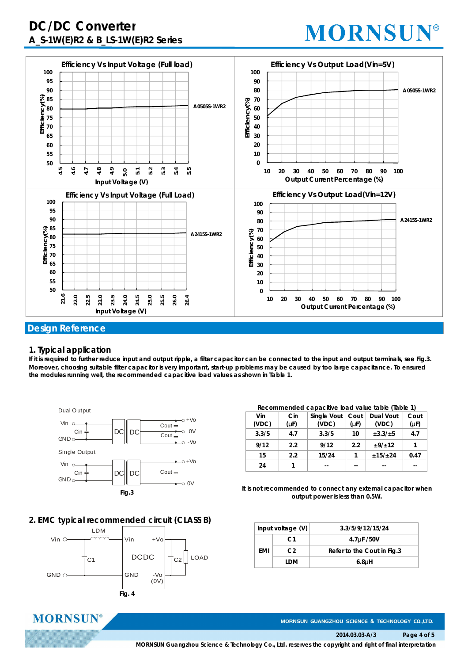## **DC/DC Converter A\_S-1W(E)R2 & B\_LS-1W(E)R2 Series**

## **MORNSUN®**



### **1. Typical application**

**MORNSUN®** 

If it is required to further reduce input and output ripple, a filter capacitor can be connected to the input and output terminals, see Fig.3. Moreover, choosing suitable filter capacitor is very important, start-up problems may be caused by too large capacitance. To ensured **the modules running well, the recommended capacitive load values as shown in Table 1.**



## **2. EMC typical recommended circuit (CLASS B)**



#### **Recommended capacitive load value table (Table 1)**

| Vin<br>(VDC) | Cin<br>$(\mu F)$ | Single Vout<br>(VDC) | Cout<br>$(\mu F)$ | Dual Vout<br>(VDC) | Cout<br>$(\mu F)$ |
|--------------|------------------|----------------------|-------------------|--------------------|-------------------|
| 3.3/5        | 4.7              | 3.3/5                | 10                | ±3.3/±5            | 4.7               |
| 9/12         | 2.2              | 9/12                 | 2.2               | ±9/±12             | 1                 |
| 15           | 2.2              | 15/24                |                   | ±15/±24            | 0.47              |
| 24           |                  |                      |                   |                    |                   |

**It is not recommended to connect any external capacitor when output power is less than 0.5W.**

| Input voltage $(V)$ |                | 3.3/5/9/12/15/24           |
|---------------------|----------------|----------------------------|
|                     | C <sub>1</sub> | 4.7 <sub>u</sub> F /50V    |
| FMI                 | C <sub>2</sub> | Refer to the Cout in Fig.3 |
|                     | I DM           | 6.8 <sub>µH</sub>          |

MORNSUN GUANGZHOU SCIENCE & TECHNOLOGY CO.,LTD.

**2014.03.03-A/3 Page 4 of 5**